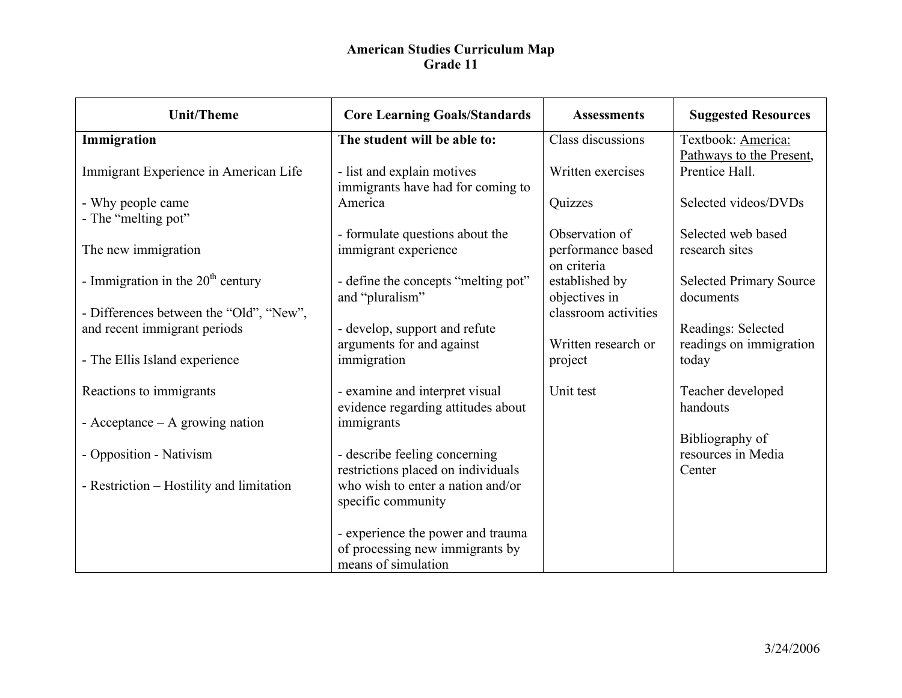| <b>Unit/Theme</b>                        | <b>Core Learning Goals/Standards</b>                                                        | <b>Assessments</b>                                 | <b>Suggested Resources</b>                      |
|------------------------------------------|---------------------------------------------------------------------------------------------|----------------------------------------------------|-------------------------------------------------|
| Immigration                              | The student will be able to:                                                                | Class discussions                                  | Textbook: America:                              |
| Immigrant Experience in American Life    | - list and explain motives<br>immigrants have had for coming to                             | Written exercises                                  | Pathways to the Present,<br>Prentice Hall.      |
| - Why people came<br>- The "melting pot" | America                                                                                     | Quizzes                                            | Selected videos/DVDs                            |
| The new immigration                      | - formulate questions about the<br>immigrant experience                                     | Observation of<br>performance based<br>on criteria | Selected web based<br>research sites            |
| - Immigration in the $20th$ century      | - define the concepts "melting pot"<br>and "pluralism"                                      | established by<br>objectives in                    | <b>Selected Primary Source</b><br>documents     |
| - Differences between the "Old", "New",  |                                                                                             | classroom activities                               |                                                 |
| and recent immigrant periods             | - develop, support and refute                                                               |                                                    | Readings: Selected                              |
| - The Ellis Island experience            | arguments for and against<br>immigration                                                    | Written research or<br>project                     | readings on immigration<br>today                |
| Reactions to immigrants                  | - examine and interpret visual<br>evidence regarding attitudes about                        | Unit test                                          | Teacher developed<br>handouts                   |
| - Acceptance $-$ A growing nation        | immigrants                                                                                  |                                                    |                                                 |
| - Opposition - Nativism                  | - describe feeling concerning<br>restrictions placed on individuals                         |                                                    | Bibliography of<br>resources in Media<br>Center |
| - Restriction – Hostility and limitation | who wish to enter a nation and/or<br>specific community                                     |                                                    |                                                 |
|                                          | - experience the power and trauma<br>of processing new immigrants by<br>means of simulation |                                                    |                                                 |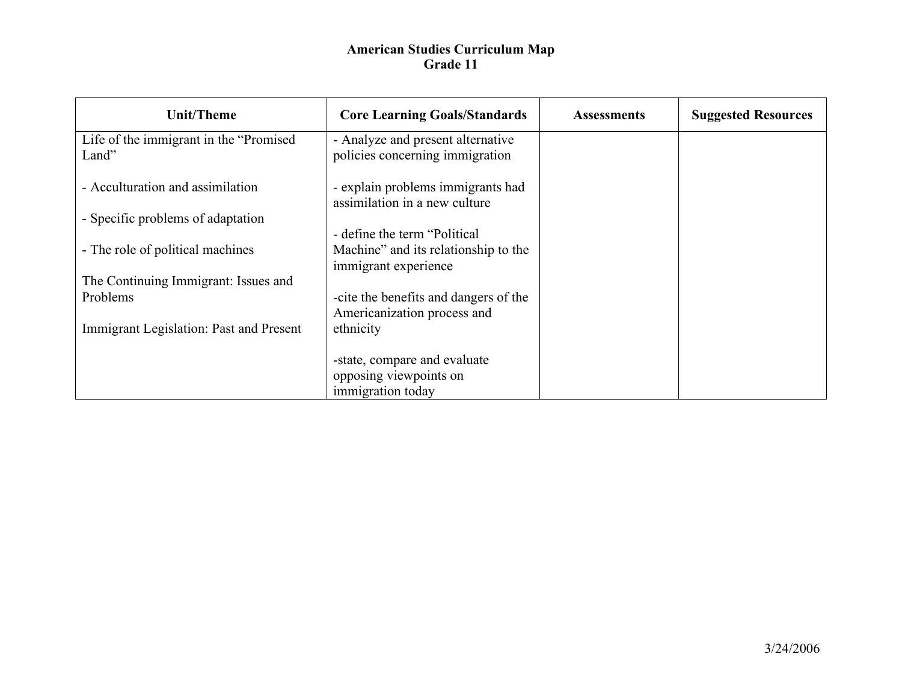| <b>Unit/Theme</b>                                | <b>Core Learning Goals/Standards</b>                                 | <b>Assessments</b> | <b>Suggested Resources</b> |
|--------------------------------------------------|----------------------------------------------------------------------|--------------------|----------------------------|
| Life of the immigrant in the "Promised"<br>Land" | - Analyze and present alternative<br>policies concerning immigration |                    |                            |
| - Acculturation and assimilation                 | - explain problems immigrants had<br>assimilation in a new culture   |                    |                            |
| - Specific problems of adaptation                |                                                                      |                    |                            |
|                                                  | - define the term "Political"                                        |                    |                            |
| - The role of political machines                 | Machine" and its relationship to the                                 |                    |                            |
| The Continuing Immigrant: Issues and             | immigrant experience                                                 |                    |                            |
| Problems                                         | -cite the benefits and dangers of the                                |                    |                            |
|                                                  | Americanization process and                                          |                    |                            |
| Immigrant Legislation: Past and Present          | ethnicity                                                            |                    |                            |
|                                                  |                                                                      |                    |                            |
|                                                  | -state, compare and evaluate                                         |                    |                            |
|                                                  | opposing viewpoints on                                               |                    |                            |
|                                                  | immigration today                                                    |                    |                            |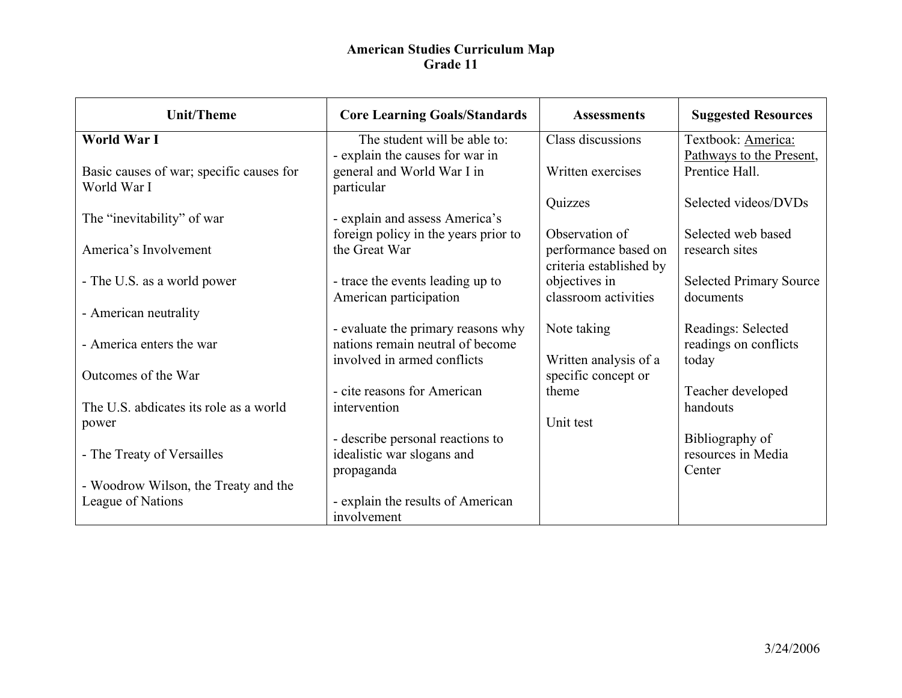| <b>Unit/Theme</b>                                       | <b>Core Learning Goals/Standards</b>                            | <b>Assessments</b>                              | <b>Suggested Resources</b>                     |
|---------------------------------------------------------|-----------------------------------------------------------------|-------------------------------------------------|------------------------------------------------|
| World War I                                             | The student will be able to:<br>- explain the causes for war in | Class discussions                               | Textbook: America:<br>Pathways to the Present, |
| Basic causes of war; specific causes for<br>World War I | general and World War I in<br>particular                        | Written exercises                               | Prentice Hall.                                 |
| The "inevitability" of war                              | - explain and assess America's                                  | Quizzes                                         | Selected videos/DVDs                           |
| America's Involvement                                   | foreign policy in the years prior to<br>the Great War           | Observation of                                  | Selected web based<br>research sites           |
|                                                         |                                                                 | performance based on<br>criteria established by |                                                |
| - The U.S. as a world power                             | - trace the events leading up to<br>American participation      | objectives in<br>classroom activities           | <b>Selected Primary Source</b><br>documents    |
| - American neutrality                                   | - evaluate the primary reasons why                              | Note taking                                     | Readings: Selected                             |
| - America enters the war                                | nations remain neutral of become<br>involved in armed conflicts | Written analysis of a                           | readings on conflicts<br>today                 |
| Outcomes of the War                                     |                                                                 | specific concept or                             |                                                |
| The U.S. abdicates its role as a world                  | - cite reasons for American<br>intervention                     | theme                                           | Teacher developed<br>handouts                  |
| power                                                   | - describe personal reactions to                                | Unit test                                       | Bibliography of                                |
| - The Treaty of Versailles                              | idealistic war slogans and<br>propaganda                        |                                                 | resources in Media<br>Center                   |
| - Woodrow Wilson, the Treaty and the                    |                                                                 |                                                 |                                                |
| League of Nations                                       | - explain the results of American<br>involvement                |                                                 |                                                |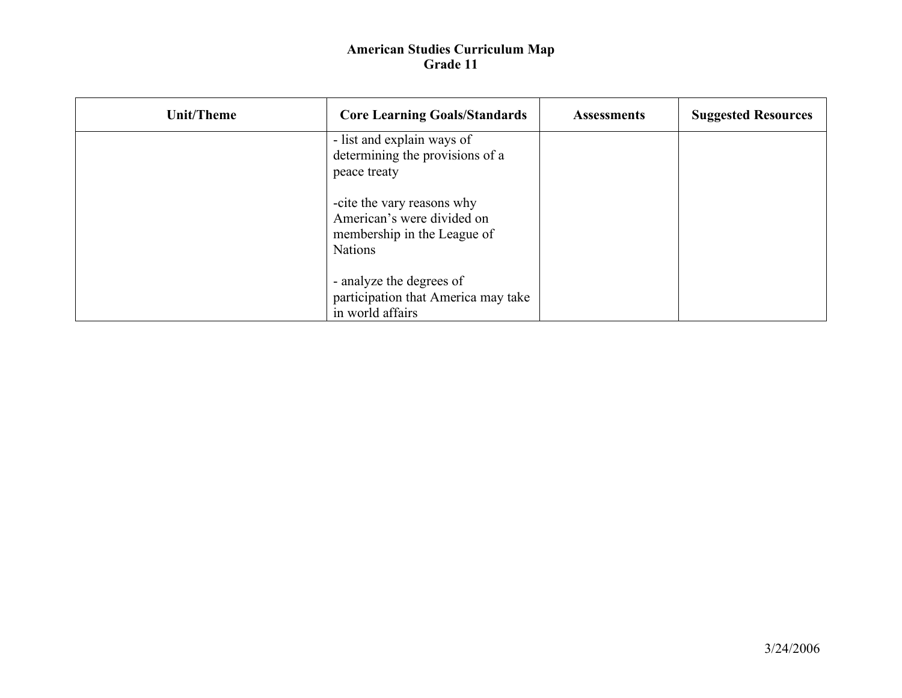| Unit/Theme | <b>Core Learning Goals/Standards</b>                                                                      | <b>Assessments</b> | <b>Suggested Resources</b> |
|------------|-----------------------------------------------------------------------------------------------------------|--------------------|----------------------------|
|            | - list and explain ways of<br>determining the provisions of a<br>peace treaty                             |                    |                            |
|            | -cite the vary reasons why<br>American's were divided on<br>membership in the League of<br><b>Nations</b> |                    |                            |
|            | - analyze the degrees of<br>participation that America may take<br>in world affairs                       |                    |                            |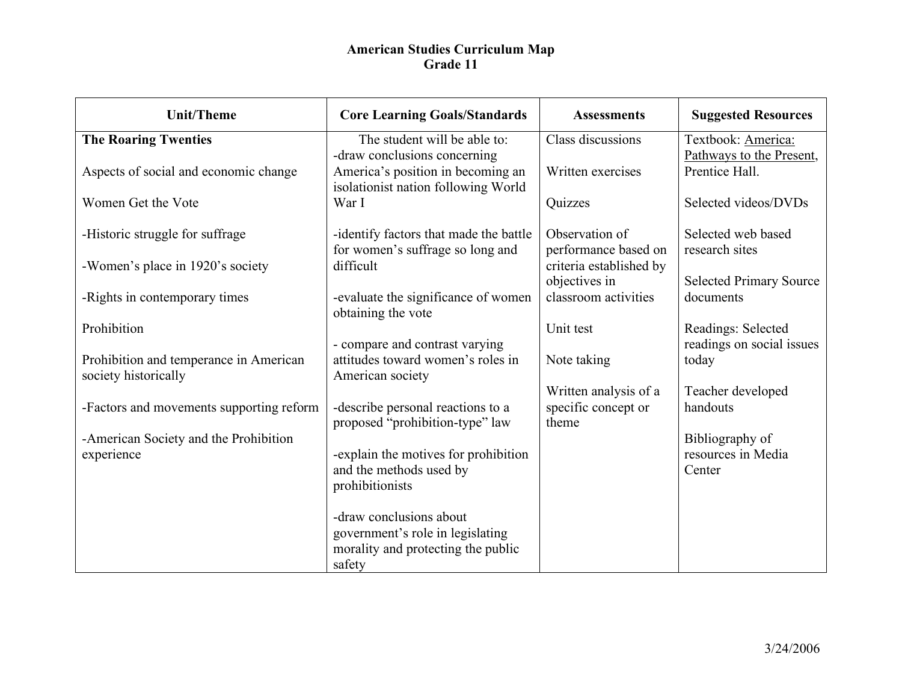| <b>Unit/Theme</b>                                              | <b>Core Learning Goals/Standards</b>                                                                        | <b>Assessments</b>                           | <b>Suggested Resources</b>                      |
|----------------------------------------------------------------|-------------------------------------------------------------------------------------------------------------|----------------------------------------------|-------------------------------------------------|
| <b>The Roaring Twenties</b>                                    | The student will be able to:<br>-draw conclusions concerning                                                | Class discussions                            | Textbook: America:<br>Pathways to the Present,  |
| Aspects of social and economic change                          | America's position in becoming an<br>isolationist nation following World                                    | Written exercises                            | Prentice Hall.                                  |
| Women Get the Vote                                             | War I                                                                                                       | Quizzes                                      | Selected videos/DVDs                            |
| -Historic struggle for suffrage                                | -identify factors that made the battle<br>for women's suffrage so long and                                  | Observation of<br>performance based on       | Selected web based<br>research sites            |
| -Women's place in 1920's society                               | difficult                                                                                                   | criteria established by<br>objectives in     | <b>Selected Primary Source</b>                  |
| -Rights in contemporary times                                  | -evaluate the significance of women<br>obtaining the vote                                                   | classroom activities                         | documents                                       |
| Prohibition                                                    |                                                                                                             | Unit test                                    | Readings: Selected<br>readings on social issues |
| Prohibition and temperance in American<br>society historically | - compare and contrast varying<br>attitudes toward women's roles in<br>American society                     | Note taking                                  | today                                           |
| -Factors and movements supporting reform                       | -describe personal reactions to a                                                                           | Written analysis of a<br>specific concept or | Teacher developed<br>handouts                   |
|                                                                | proposed "prohibition-type" law                                                                             | theme                                        |                                                 |
| -American Society and the Prohibition<br>experience            | -explain the motives for prohibition<br>and the methods used by<br>prohibitionists                          |                                              | Bibliography of<br>resources in Media<br>Center |
|                                                                | -draw conclusions about<br>government's role in legislating<br>morality and protecting the public<br>safety |                                              |                                                 |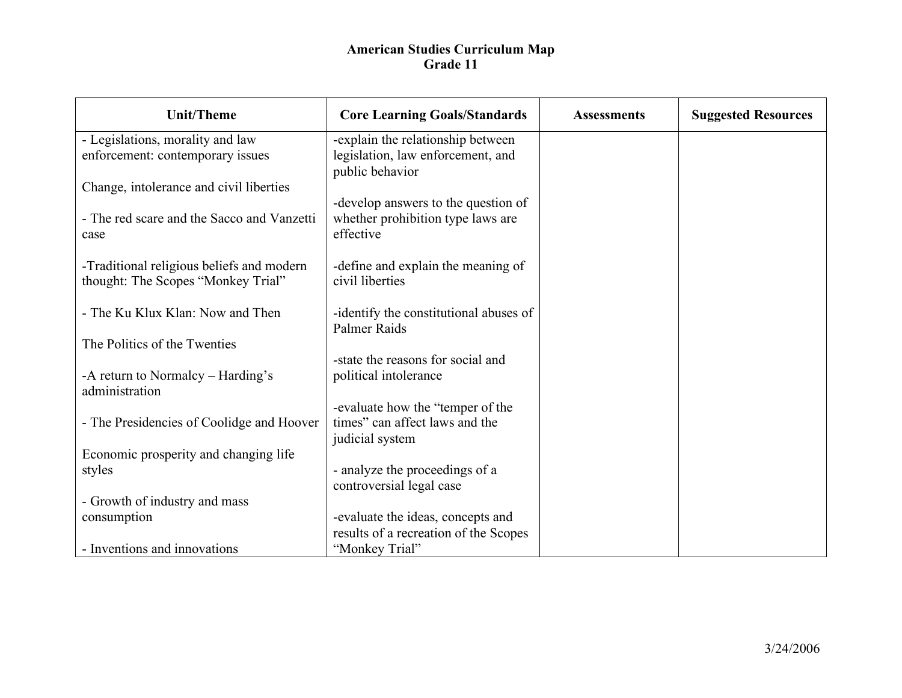| <b>Unit/Theme</b>                                   | <b>Core Learning Goals/Standards</b>                 | <b>Assessments</b> | <b>Suggested Resources</b> |
|-----------------------------------------------------|------------------------------------------------------|--------------------|----------------------------|
| - Legislations, morality and law                    | -explain the relationship between                    |                    |                            |
| enforcement: contemporary issues                    | legislation, law enforcement, and<br>public behavior |                    |                            |
| Change, intolerance and civil liberties             |                                                      |                    |                            |
|                                                     | -develop answers to the question of                  |                    |                            |
| - The red scare and the Sacco and Vanzetti<br>case  | whether prohibition type laws are<br>effective       |                    |                            |
|                                                     |                                                      |                    |                            |
| -Traditional religious beliefs and modern           | -define and explain the meaning of                   |                    |                            |
| thought: The Scopes "Monkey Trial"                  | civil liberties                                      |                    |                            |
| - The Ku Klux Klan: Now and Then                    | -identify the constitutional abuses of               |                    |                            |
|                                                     | <b>Palmer Raids</b>                                  |                    |                            |
| The Politics of the Twenties                        |                                                      |                    |                            |
|                                                     | -state the reasons for social and                    |                    |                            |
| -A return to Normalcy – Harding's<br>administration | political intolerance                                |                    |                            |
|                                                     | -evaluate how the "temper of the                     |                    |                            |
| - The Presidencies of Coolidge and Hoover           | times" can affect laws and the                       |                    |                            |
|                                                     | judicial system                                      |                    |                            |
| Economic prosperity and changing life               |                                                      |                    |                            |
| styles                                              | - analyze the proceedings of a                       |                    |                            |
|                                                     | controversial legal case                             |                    |                            |
| - Growth of industry and mass                       |                                                      |                    |                            |
| consumption                                         | -evaluate the ideas, concepts and                    |                    |                            |
|                                                     | results of a recreation of the Scopes                |                    |                            |
| - Inventions and innovations                        | "Monkey Trial"                                       |                    |                            |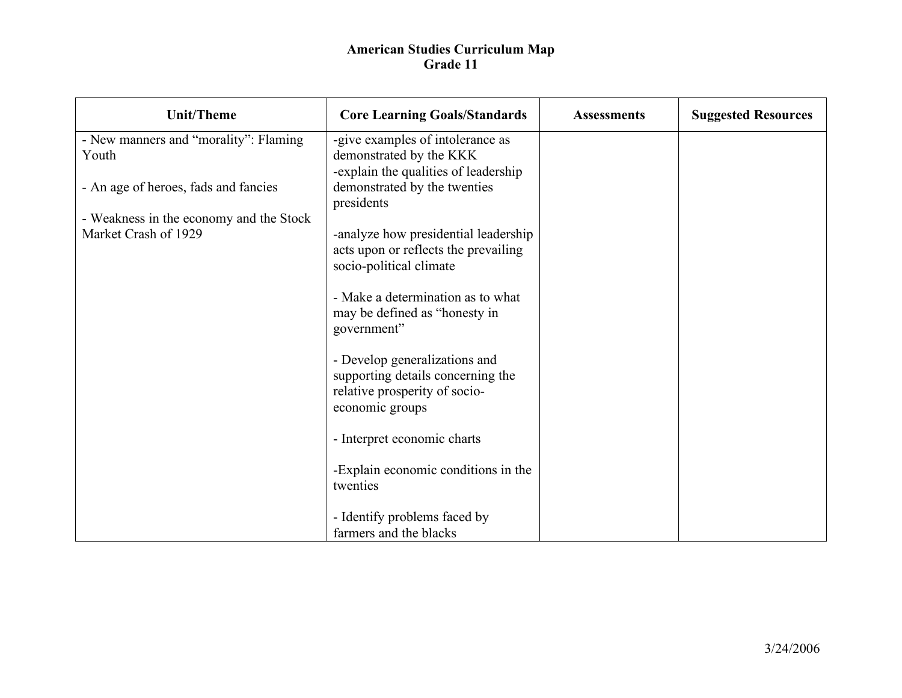| <b>Unit/Theme</b>                                               | <b>Core Learning Goals/Standards</b>                            | <b>Assessments</b> | <b>Suggested Resources</b> |
|-----------------------------------------------------------------|-----------------------------------------------------------------|--------------------|----------------------------|
| - New manners and "morality": Flaming                           | -give examples of intolerance as                                |                    |                            |
| Youth                                                           | demonstrated by the KKK<br>-explain the qualities of leadership |                    |                            |
| - An age of heroes, fads and fancies                            | demonstrated by the twenties                                    |                    |                            |
|                                                                 | presidents                                                      |                    |                            |
| - Weakness in the economy and the Stock<br>Market Crash of 1929 | -analyze how presidential leadership                            |                    |                            |
|                                                                 | acts upon or reflects the prevailing                            |                    |                            |
|                                                                 | socio-political climate                                         |                    |                            |
|                                                                 | - Make a determination as to what                               |                    |                            |
|                                                                 | may be defined as "honesty in                                   |                    |                            |
|                                                                 | government"                                                     |                    |                            |
|                                                                 | - Develop generalizations and                                   |                    |                            |
|                                                                 | supporting details concerning the                               |                    |                            |
|                                                                 | relative prosperity of socio-                                   |                    |                            |
|                                                                 | economic groups                                                 |                    |                            |
|                                                                 | - Interpret economic charts                                     |                    |                            |
|                                                                 |                                                                 |                    |                            |
|                                                                 | -Explain economic conditions in the<br>twenties                 |                    |                            |
|                                                                 |                                                                 |                    |                            |
|                                                                 | - Identify problems faced by                                    |                    |                            |
|                                                                 | farmers and the blacks                                          |                    |                            |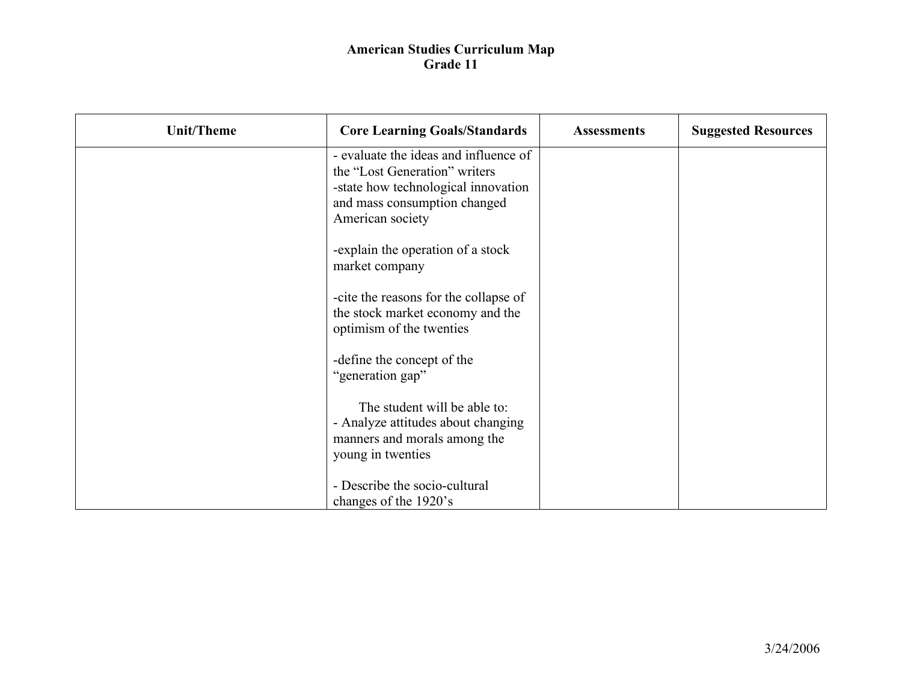| <b>Unit/Theme</b> | <b>Core Learning Goals/Standards</b>                                                                                                                              | <b>Assessments</b> | <b>Suggested Resources</b> |
|-------------------|-------------------------------------------------------------------------------------------------------------------------------------------------------------------|--------------------|----------------------------|
|                   | - evaluate the ideas and influence of<br>the "Lost Generation" writers<br>-state how technological innovation<br>and mass consumption changed<br>American society |                    |                            |
|                   | -explain the operation of a stock<br>market company                                                                                                               |                    |                            |
|                   | -cite the reasons for the collapse of<br>the stock market economy and the<br>optimism of the twenties                                                             |                    |                            |
|                   | -define the concept of the<br>"generation gap"                                                                                                                    |                    |                            |
|                   | The student will be able to:<br>- Analyze attitudes about changing<br>manners and morals among the<br>young in twenties                                           |                    |                            |
|                   | - Describe the socio-cultural<br>changes of the 1920's                                                                                                            |                    |                            |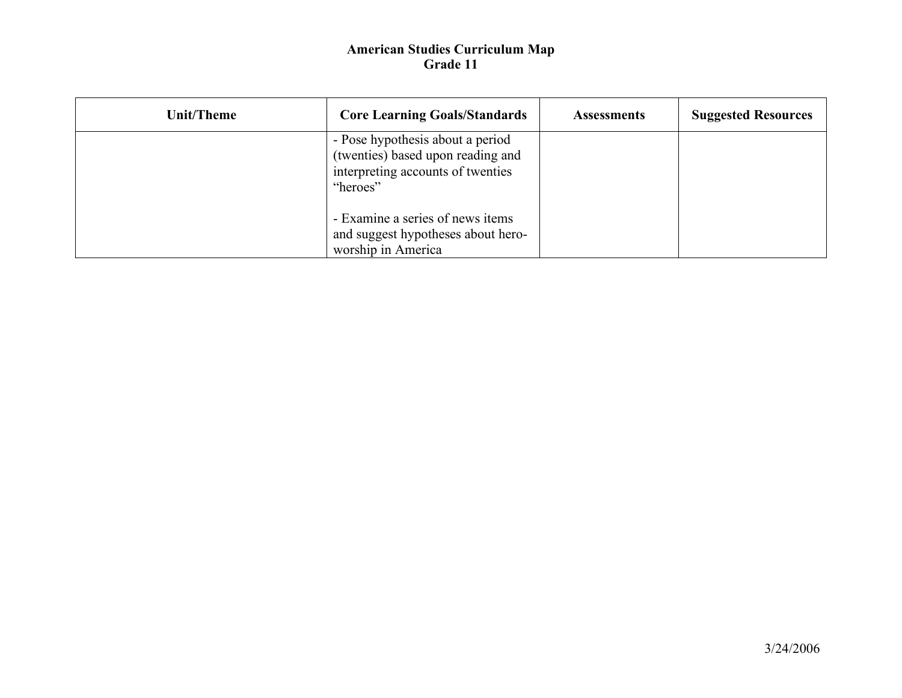| Unit/Theme | <b>Core Learning Goals/Standards</b>                                                                                   | <b>Assessments</b> | <b>Suggested Resources</b> |
|------------|------------------------------------------------------------------------------------------------------------------------|--------------------|----------------------------|
|            | - Pose hypothesis about a period<br>(twenties) based upon reading and<br>interpreting accounts of twenties<br>"heroes" |                    |                            |
|            | - Examine a series of news items<br>and suggest hypotheses about hero-<br>worship in America                           |                    |                            |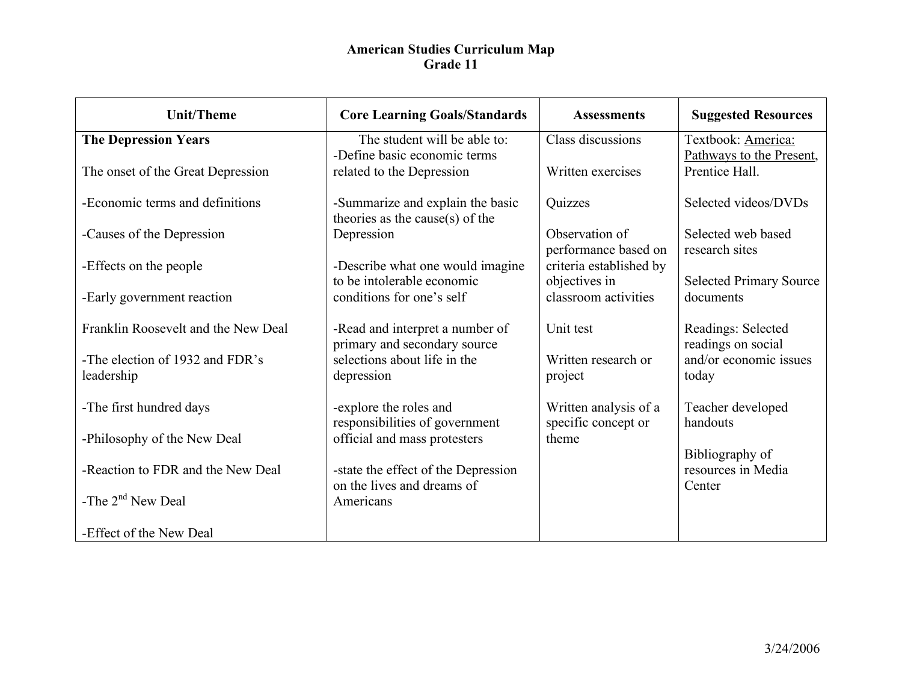| <b>Unit/Theme</b>                   | <b>Core Learning Goals/Standards</b>                                | <b>Assessments</b>                           | <b>Suggested Resources</b>                     |
|-------------------------------------|---------------------------------------------------------------------|----------------------------------------------|------------------------------------------------|
| <b>The Depression Years</b>         | The student will be able to:<br>-Define basic economic terms        | Class discussions                            | Textbook: America:<br>Pathways to the Present, |
| The onset of the Great Depression   | related to the Depression                                           | Written exercises                            | Prentice Hall.                                 |
| -Economic terms and definitions     | -Summarize and explain the basic<br>theories as the cause(s) of the | Quizzes                                      | Selected videos/DVDs                           |
| -Causes of the Depression           | Depression                                                          | Observation of<br>performance based on       | Selected web based<br>research sites           |
| -Effects on the people              | -Describe what one would imagine<br>to be intolerable economic      | criteria established by<br>objectives in     | <b>Selected Primary Source</b>                 |
| -Early government reaction          | conditions for one's self                                           | classroom activities                         | documents                                      |
| Franklin Roosevelt and the New Deal | -Read and interpret a number of<br>primary and secondary source     | Unit test                                    | Readings: Selected<br>readings on social       |
| -The election of 1932 and FDR's     | selections about life in the                                        | Written research or                          | and/or economic issues                         |
| leadership                          | depression                                                          | project                                      | today                                          |
| -The first hundred days             | -explore the roles and<br>responsibilities of government            | Written analysis of a<br>specific concept or | Teacher developed<br>handouts                  |
| -Philosophy of the New Deal         | official and mass protesters                                        | theme                                        | Bibliography of                                |
| -Reaction to FDR and the New Deal   | -state the effect of the Depression<br>on the lives and dreams of   |                                              | resources in Media<br>Center                   |
| -The $2nd$ New Deal                 | Americans                                                           |                                              |                                                |
| -Effect of the New Deal             |                                                                     |                                              |                                                |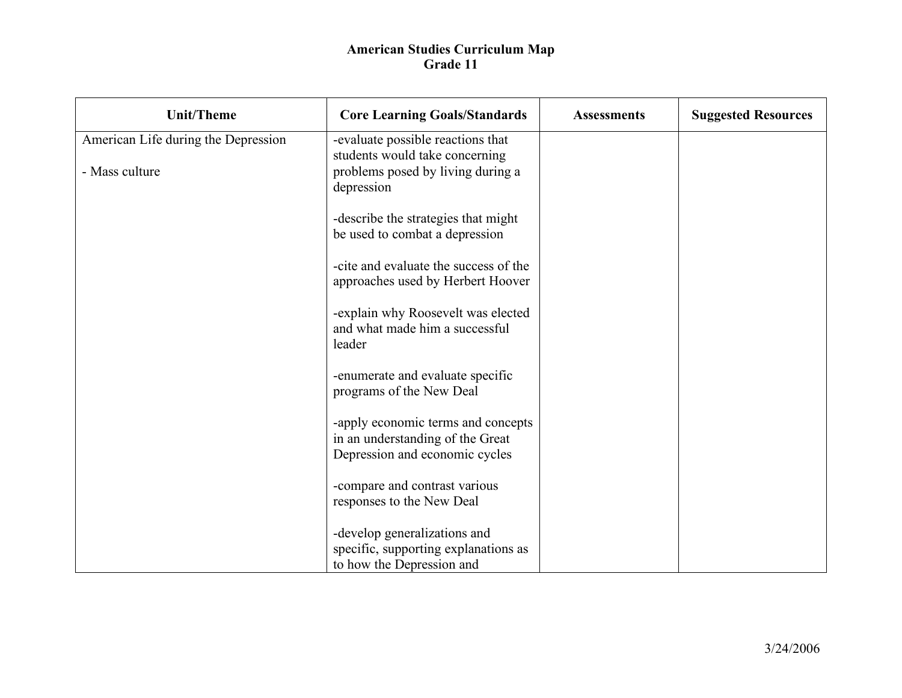| <b>Unit/Theme</b>                   | <b>Core Learning Goals/Standards</b>                                                                     | <b>Assessments</b> | <b>Suggested Resources</b> |
|-------------------------------------|----------------------------------------------------------------------------------------------------------|--------------------|----------------------------|
| American Life during the Depression | -evaluate possible reactions that<br>students would take concerning                                      |                    |                            |
| - Mass culture                      | problems posed by living during a<br>depression                                                          |                    |                            |
|                                     | -describe the strategies that might<br>be used to combat a depression                                    |                    |                            |
|                                     | -cite and evaluate the success of the<br>approaches used by Herbert Hoover                               |                    |                            |
|                                     | -explain why Roosevelt was elected<br>and what made him a successful<br>leader                           |                    |                            |
|                                     | -enumerate and evaluate specific<br>programs of the New Deal                                             |                    |                            |
|                                     | -apply economic terms and concepts<br>in an understanding of the Great<br>Depression and economic cycles |                    |                            |
|                                     | -compare and contrast various<br>responses to the New Deal                                               |                    |                            |
|                                     | -develop generalizations and<br>specific, supporting explanations as<br>to how the Depression and        |                    |                            |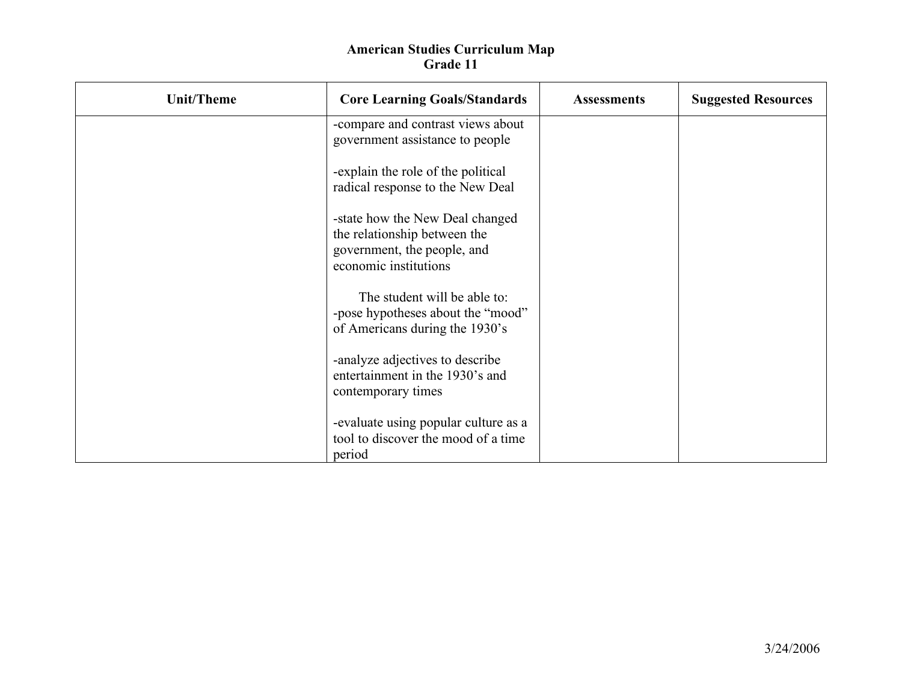| <b>Unit/Theme</b> | <b>Core Learning Goals/Standards</b>                                                                                    | <b>Assessments</b> | <b>Suggested Resources</b> |
|-------------------|-------------------------------------------------------------------------------------------------------------------------|--------------------|----------------------------|
|                   | -compare and contrast views about<br>government assistance to people                                                    |                    |                            |
|                   | -explain the role of the political<br>radical response to the New Deal                                                  |                    |                            |
|                   | -state how the New Deal changed<br>the relationship between the<br>government, the people, and<br>economic institutions |                    |                            |
|                   | The student will be able to:<br>-pose hypotheses about the "mood"<br>of Americans during the 1930's                     |                    |                            |
|                   | -analyze adjectives to describe<br>entertainment in the 1930's and<br>contemporary times                                |                    |                            |
|                   | -evaluate using popular culture as a<br>tool to discover the mood of a time<br>period                                   |                    |                            |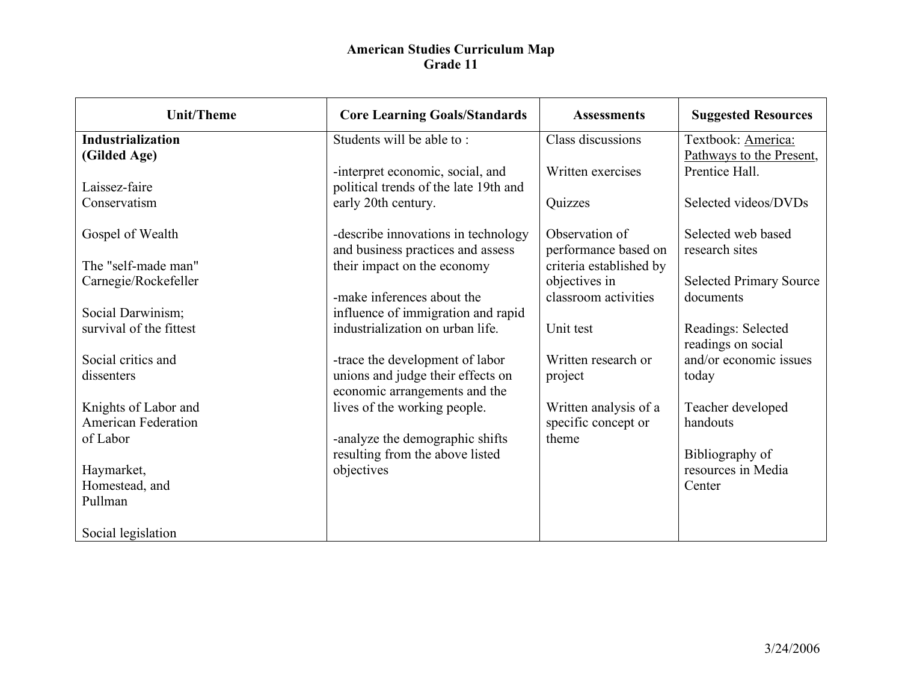| <b>Unit/Theme</b>                            | <b>Core Learning Goals/Standards</b>                                   | <b>Assessments</b>      | <b>Suggested Resources</b>               |
|----------------------------------------------|------------------------------------------------------------------------|-------------------------|------------------------------------------|
| <b>Industrialization</b>                     | Students will be able to:                                              | Class discussions       | Textbook: America:                       |
| (Gilded Age)                                 |                                                                        |                         | Pathways to the Present,                 |
|                                              | -interpret economic, social, and                                       | Written exercises       | Prentice Hall.                           |
| Laissez-faire                                | political trends of the late 19th and                                  |                         |                                          |
| Conservatism                                 | early 20th century.                                                    | Quizzes                 | Selected videos/DVDs                     |
|                                              |                                                                        |                         |                                          |
| Gospel of Wealth                             | -describe innovations in technology                                    | Observation of          | Selected web based                       |
|                                              | and business practices and assess                                      | performance based on    | research sites                           |
| The "self-made man"                          | their impact on the economy                                            | criteria established by |                                          |
| Carnegie/Rockefeller                         |                                                                        | objectives in           | <b>Selected Primary Source</b>           |
|                                              | -make inferences about the                                             | classroom activities    | documents                                |
| Social Darwinism;<br>survival of the fittest | influence of immigration and rapid<br>industrialization on urban life. | Unit test               |                                          |
|                                              |                                                                        |                         | Readings: Selected<br>readings on social |
| Social critics and                           | -trace the development of labor                                        | Written research or     | and/or economic issues                   |
| dissenters                                   | unions and judge their effects on                                      | project                 | today                                    |
|                                              | economic arrangements and the                                          |                         |                                          |
| Knights of Labor and                         | lives of the working people.                                           | Written analysis of a   | Teacher developed                        |
| <b>American Federation</b>                   |                                                                        | specific concept or     | handouts                                 |
| of Labor                                     | -analyze the demographic shifts                                        | theme                   |                                          |
|                                              | resulting from the above listed                                        |                         | Bibliography of                          |
| Haymarket,                                   | objectives                                                             |                         | resources in Media                       |
| Homestead, and                               |                                                                        |                         | Center                                   |
| Pullman                                      |                                                                        |                         |                                          |
|                                              |                                                                        |                         |                                          |
| Social legislation                           |                                                                        |                         |                                          |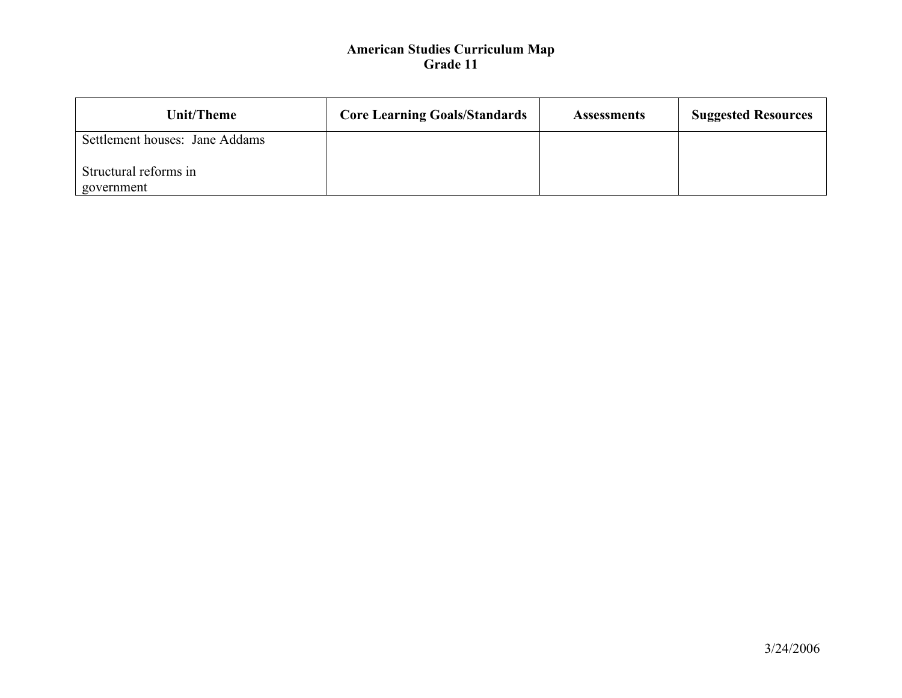| Unit/Theme                          | <b>Core Learning Goals/Standards</b> | <b>Assessments</b> | <b>Suggested Resources</b> |
|-------------------------------------|--------------------------------------|--------------------|----------------------------|
| Settlement houses: Jane Addams      |                                      |                    |                            |
| Structural reforms in<br>government |                                      |                    |                            |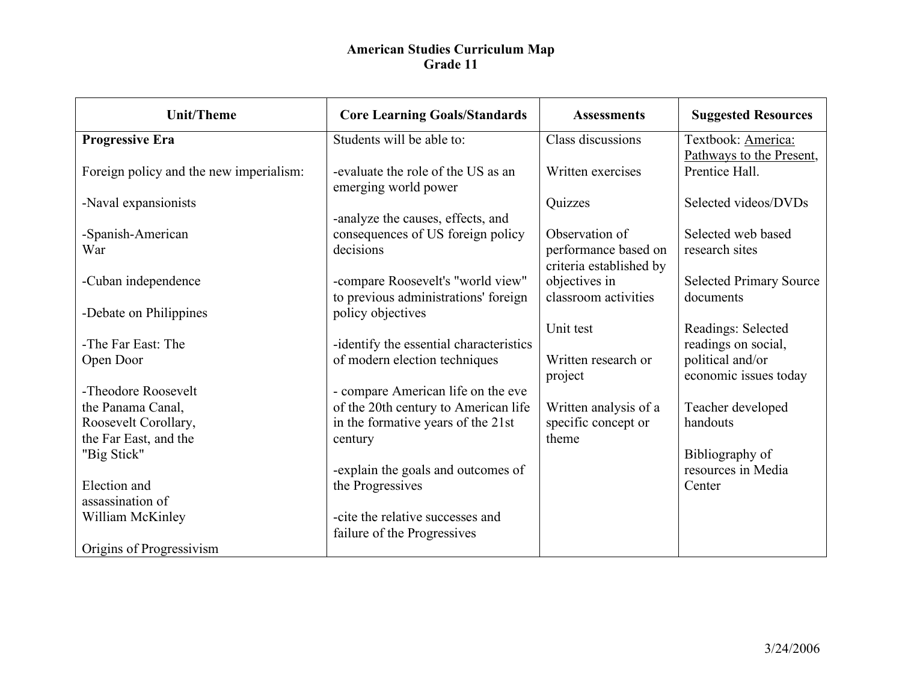| <b>Unit/Theme</b>                       | <b>Core Learning Goals/Standards</b>                       | <b>Assessments</b>                              | <b>Suggested Resources</b>     |
|-----------------------------------------|------------------------------------------------------------|-------------------------------------------------|--------------------------------|
| <b>Progressive Era</b>                  | Students will be able to:                                  | Class discussions                               | Textbook: America:             |
|                                         |                                                            |                                                 | Pathways to the Present,       |
| Foreign policy and the new imperialism: | -evaluate the role of the US as an<br>emerging world power | Written exercises                               | Prentice Hall.                 |
| -Naval expansionists                    |                                                            | Quizzes                                         | Selected videos/DVDs           |
|                                         | -analyze the causes, effects, and                          |                                                 |                                |
| -Spanish-American                       | consequences of US foreign policy                          | Observation of                                  | Selected web based             |
| War                                     | decisions                                                  | performance based on<br>criteria established by | research sites                 |
| -Cuban independence                     | -compare Roosevelt's "world view"                          | objectives in                                   | <b>Selected Primary Source</b> |
|                                         | to previous administrations' foreign                       | classroom activities                            | documents                      |
| -Debate on Philippines                  | policy objectives                                          |                                                 |                                |
|                                         |                                                            | Unit test                                       | Readings: Selected             |
| -The Far East: The                      | -identify the essential characteristics                    |                                                 | readings on social,            |
| Open Door                               | of modern election techniques                              | Written research or                             | political and/or               |
|                                         |                                                            | project                                         | economic issues today          |
| -Theodore Roosevelt                     | - compare American life on the eve                         |                                                 |                                |
| the Panama Canal,                       | of the 20th century to American life                       | Written analysis of a                           | Teacher developed              |
| Roosevelt Corollary,                    | in the formative years of the 21st                         | specific concept or                             | handouts                       |
| the Far East, and the                   | century                                                    | theme                                           |                                |
| "Big Stick"                             |                                                            |                                                 | Bibliography of                |
|                                         | -explain the goals and outcomes of                         |                                                 | resources in Media             |
| Election and                            | the Progressives                                           |                                                 | Center                         |
| assassination of                        |                                                            |                                                 |                                |
| William McKinley                        | -cite the relative successes and                           |                                                 |                                |
|                                         | failure of the Progressives                                |                                                 |                                |
| Origins of Progressivism                |                                                            |                                                 |                                |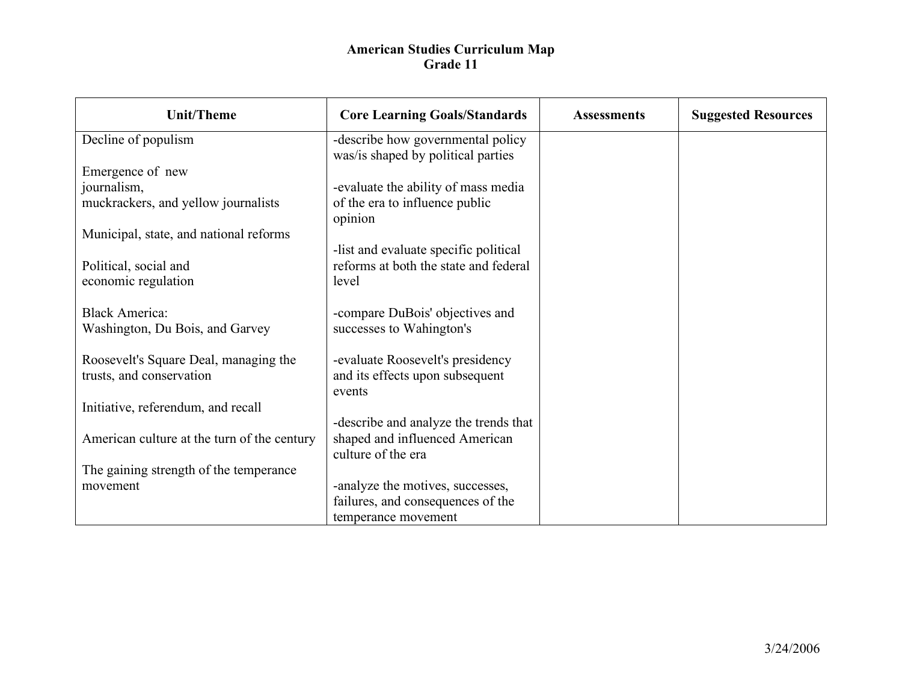| <b>Unit/Theme</b>                           | <b>Core Learning Goals/Standards</b>                                    | <b>Assessments</b> | <b>Suggested Resources</b> |
|---------------------------------------------|-------------------------------------------------------------------------|--------------------|----------------------------|
| Decline of populism                         | -describe how governmental policy<br>was/is shaped by political parties |                    |                            |
| Emergence of new                            |                                                                         |                    |                            |
| journalism,                                 | -evaluate the ability of mass media                                     |                    |                            |
| muckrackers, and yellow journalists         | of the era to influence public<br>opinion                               |                    |                            |
| Municipal, state, and national reforms      |                                                                         |                    |                            |
|                                             | -list and evaluate specific political                                   |                    |                            |
| Political, social and                       | reforms at both the state and federal                                   |                    |                            |
| economic regulation                         | level                                                                   |                    |                            |
|                                             |                                                                         |                    |                            |
| <b>Black America:</b>                       | -compare DuBois' objectives and                                         |                    |                            |
| Washington, Du Bois, and Garvey             | successes to Wahington's                                                |                    |                            |
| Roosevelt's Square Deal, managing the       | -evaluate Roosevelt's presidency                                        |                    |                            |
| trusts, and conservation                    | and its effects upon subsequent                                         |                    |                            |
|                                             | events                                                                  |                    |                            |
| Initiative, referendum, and recall          |                                                                         |                    |                            |
|                                             | -describe and analyze the trends that                                   |                    |                            |
| American culture at the turn of the century | shaped and influenced American                                          |                    |                            |
|                                             | culture of the era                                                      |                    |                            |
| The gaining strength of the temperance      |                                                                         |                    |                            |
| movement                                    | -analyze the motives, successes,                                        |                    |                            |
|                                             | failures, and consequences of the                                       |                    |                            |
|                                             | temperance movement                                                     |                    |                            |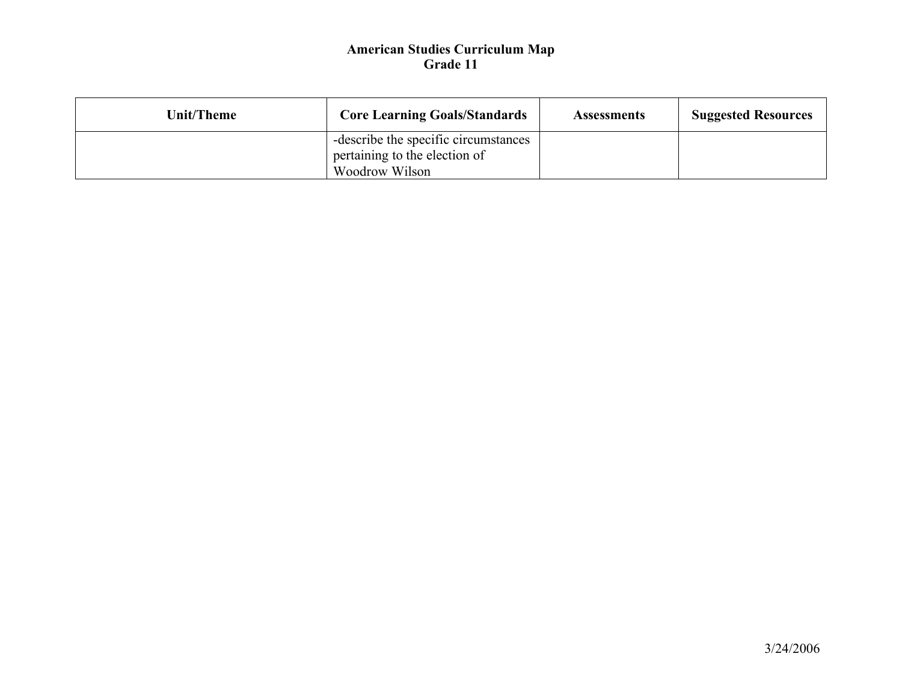| Unit/Theme | <b>Core Learning Goals/Standards</b>                                                    | <b>Assessments</b> | <b>Suggested Resources</b> |
|------------|-----------------------------------------------------------------------------------------|--------------------|----------------------------|
|            | -describe the specific circumstances<br>pertaining to the election of<br>Woodrow Wilson |                    |                            |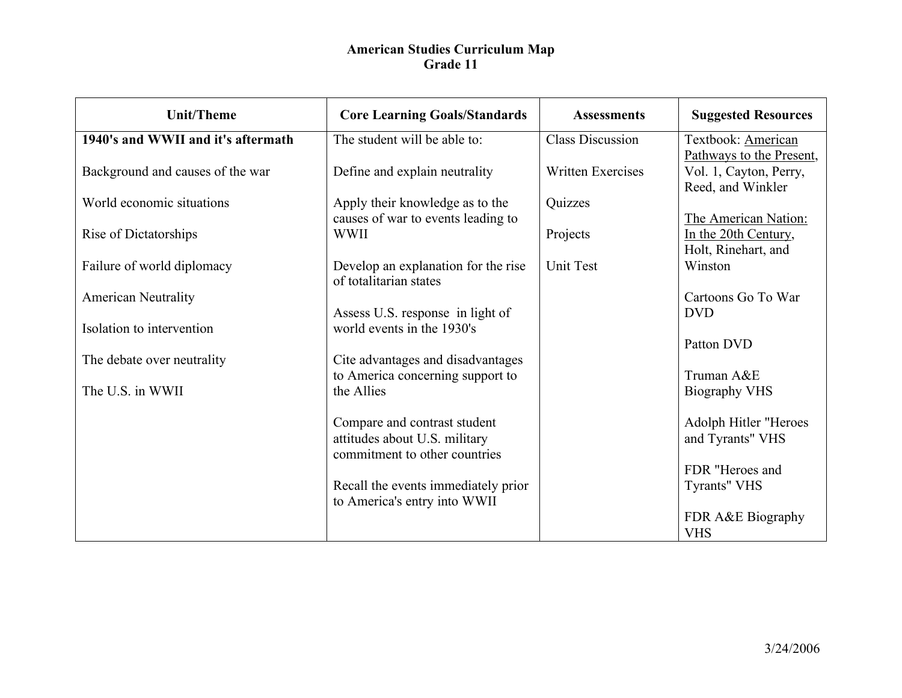| <b>Unit/Theme</b>                  | <b>Core Learning Goals/Standards</b>                                                           | <b>Assessments</b>       | <b>Suggested Resources</b>                     |
|------------------------------------|------------------------------------------------------------------------------------------------|--------------------------|------------------------------------------------|
| 1940's and WWII and it's aftermath | The student will be able to:                                                                   | <b>Class Discussion</b>  | Textbook: American<br>Pathways to the Present, |
| Background and causes of the war   | Define and explain neutrality                                                                  | <b>Written Exercises</b> | Vol. 1, Cayton, Perry,<br>Reed, and Winkler    |
| World economic situations          | Apply their knowledge as to the<br>causes of war to events leading to                          | Quizzes                  | The American Nation:                           |
| Rise of Dictatorships              | <b>WWII</b>                                                                                    | Projects                 | In the 20th Century,<br>Holt, Rinehart, and    |
| Failure of world diplomacy         | Develop an explanation for the rise<br>of totalitarian states                                  | <b>Unit Test</b>         | Winston                                        |
| <b>American Neutrality</b>         | Assess U.S. response in light of                                                               |                          | Cartoons Go To War<br><b>DVD</b>               |
| Isolation to intervention          | world events in the 1930's                                                                     |                          | Patton DVD                                     |
| The debate over neutrality         | Cite advantages and disadvantages<br>to America concerning support to                          |                          | Truman A&E                                     |
| The U.S. in WWII                   | the Allies                                                                                     |                          | <b>Biography VHS</b>                           |
|                                    | Compare and contrast student<br>attitudes about U.S. military<br>commitment to other countries |                          | Adolph Hitler "Heroes<br>and Tyrants" VHS      |
|                                    | Recall the events immediately prior<br>to America's entry into WWII                            |                          | FDR "Heroes and<br>Tyrants" VHS                |
|                                    |                                                                                                |                          | FDR A&E Biography<br><b>VHS</b>                |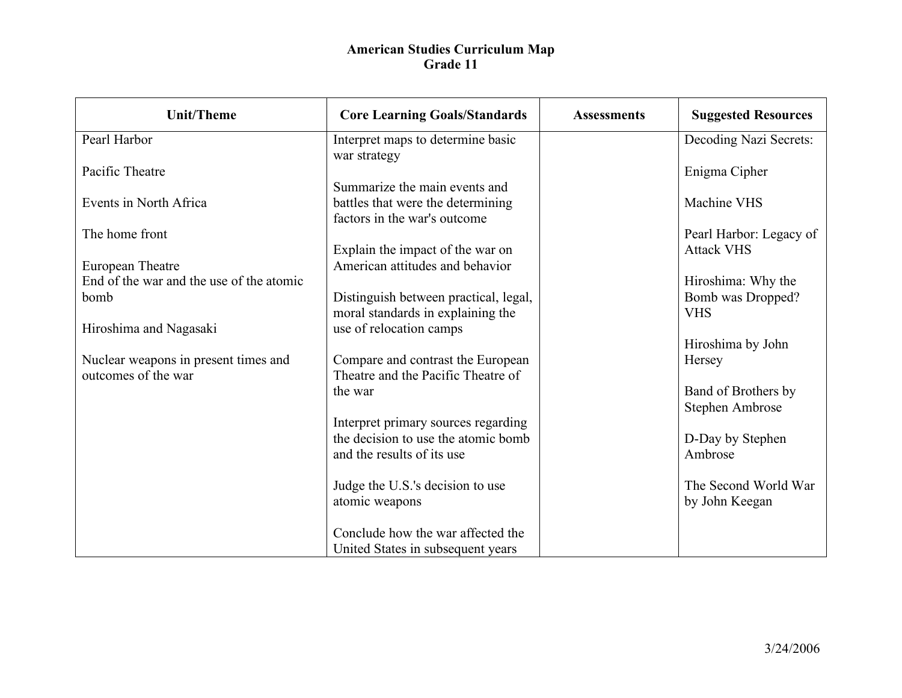| <b>Unit/Theme</b>                        | <b>Core Learning Goals/Standards</b>                                       | <b>Assessments</b> | <b>Suggested Resources</b> |
|------------------------------------------|----------------------------------------------------------------------------|--------------------|----------------------------|
| Pearl Harbor                             | Interpret maps to determine basic                                          |                    | Decoding Nazi Secrets:     |
|                                          | war strategy                                                               |                    |                            |
| Pacific Theatre                          |                                                                            |                    | Enigma Cipher              |
| Events in North Africa                   | Summarize the main events and                                              |                    | Machine VHS                |
|                                          | battles that were the determining<br>factors in the war's outcome          |                    |                            |
| The home front                           |                                                                            |                    | Pearl Harbor: Legacy of    |
|                                          | Explain the impact of the war on                                           |                    | <b>Attack VHS</b>          |
| European Theatre                         | American attitudes and behavior                                            |                    |                            |
| End of the war and the use of the atomic |                                                                            |                    | Hiroshima: Why the         |
| bomb                                     | Distinguish between practical, legal,                                      |                    | Bomb was Dropped?          |
| Hiroshima and Nagasaki                   | moral standards in explaining the<br>use of relocation camps               |                    | <b>VHS</b>                 |
|                                          |                                                                            |                    | Hiroshima by John          |
| Nuclear weapons in present times and     | Compare and contrast the European                                          |                    | Hersey                     |
| outcomes of the war                      | Theatre and the Pacific Theatre of                                         |                    |                            |
|                                          | the war                                                                    |                    | Band of Brothers by        |
|                                          |                                                                            |                    | Stephen Ambrose            |
|                                          | Interpret primary sources regarding<br>the decision to use the atomic bomb |                    | D-Day by Stephen           |
|                                          | and the results of its use                                                 |                    | Ambrose                    |
|                                          |                                                                            |                    |                            |
|                                          | Judge the U.S.'s decision to use                                           |                    | The Second World War       |
|                                          | atomic weapons                                                             |                    | by John Keegan             |
|                                          |                                                                            |                    |                            |
|                                          | Conclude how the war affected the                                          |                    |                            |
|                                          | United States in subsequent years                                          |                    |                            |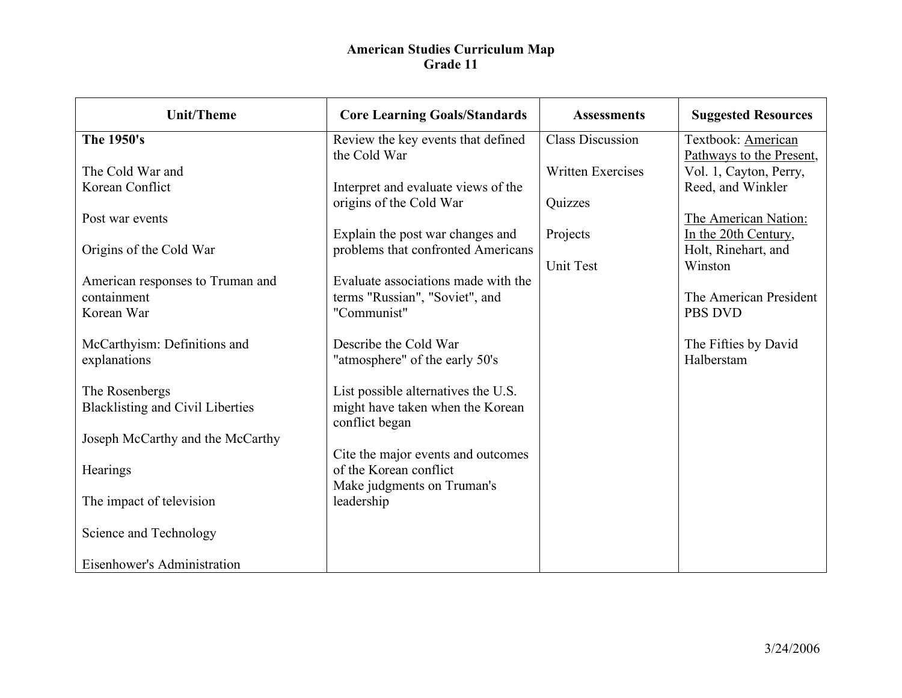| <b>Unit/Theme</b>                               | <b>Core Learning Goals/Standards</b>                                   | <b>Assessments</b>       | <b>Suggested Resources</b>                                              |
|-------------------------------------------------|------------------------------------------------------------------------|--------------------------|-------------------------------------------------------------------------|
| The 1950's                                      | Review the key events that defined                                     | <b>Class Discussion</b>  | Textbook: American                                                      |
| The Cold War and<br>Korean Conflict             | the Cold War<br>Interpret and evaluate views of the                    | <b>Written Exercises</b> | Pathways to the Present,<br>Vol. 1, Cayton, Perry,<br>Reed, and Winkler |
|                                                 | origins of the Cold War                                                | Quizzes                  |                                                                         |
| Post war events                                 |                                                                        |                          | The American Nation:                                                    |
| Origins of the Cold War                         | Explain the post war changes and<br>problems that confronted Americans | Projects                 | In the 20th Century,<br>Holt, Rinehart, and                             |
|                                                 |                                                                        | Unit Test                | Winston                                                                 |
| American responses to Truman and<br>containment | Evaluate associations made with the<br>terms "Russian", "Soviet", and  |                          | The American President                                                  |
| Korean War                                      | "Communist"                                                            |                          | <b>PBS DVD</b>                                                          |
| McCarthyism: Definitions and<br>explanations    | Describe the Cold War<br>"atmosphere" of the early 50's                |                          | The Fifties by David<br>Halberstam                                      |
| The Rosenbergs                                  | List possible alternatives the U.S.                                    |                          |                                                                         |
| <b>Blacklisting and Civil Liberties</b>         | might have taken when the Korean<br>conflict began                     |                          |                                                                         |
| Joseph McCarthy and the McCarthy                |                                                                        |                          |                                                                         |
| Hearings                                        | Cite the major events and outcomes<br>of the Korean conflict           |                          |                                                                         |
| The impact of television                        | Make judgments on Truman's<br>leadership                               |                          |                                                                         |
| Science and Technology                          |                                                                        |                          |                                                                         |
| Eisenhower's Administration                     |                                                                        |                          |                                                                         |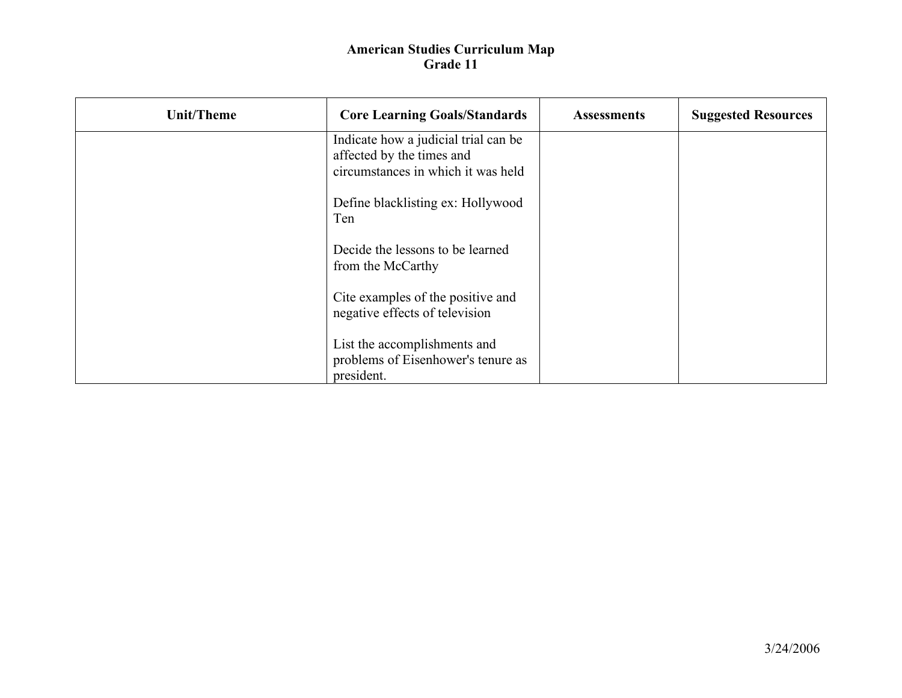| <b>Unit/Theme</b> | <b>Core Learning Goals/Standards</b>                                                                    | <b>Assessments</b> | <b>Suggested Resources</b> |
|-------------------|---------------------------------------------------------------------------------------------------------|--------------------|----------------------------|
|                   | Indicate how a judicial trial can be<br>affected by the times and<br>circumstances in which it was held |                    |                            |
|                   | Define blacklisting ex: Hollywood<br>Ten                                                                |                    |                            |
|                   | Decide the lessons to be learned<br>from the McCarthy                                                   |                    |                            |
|                   | Cite examples of the positive and<br>negative effects of television                                     |                    |                            |
|                   | List the accomplishments and<br>problems of Eisenhower's tenure as<br>president.                        |                    |                            |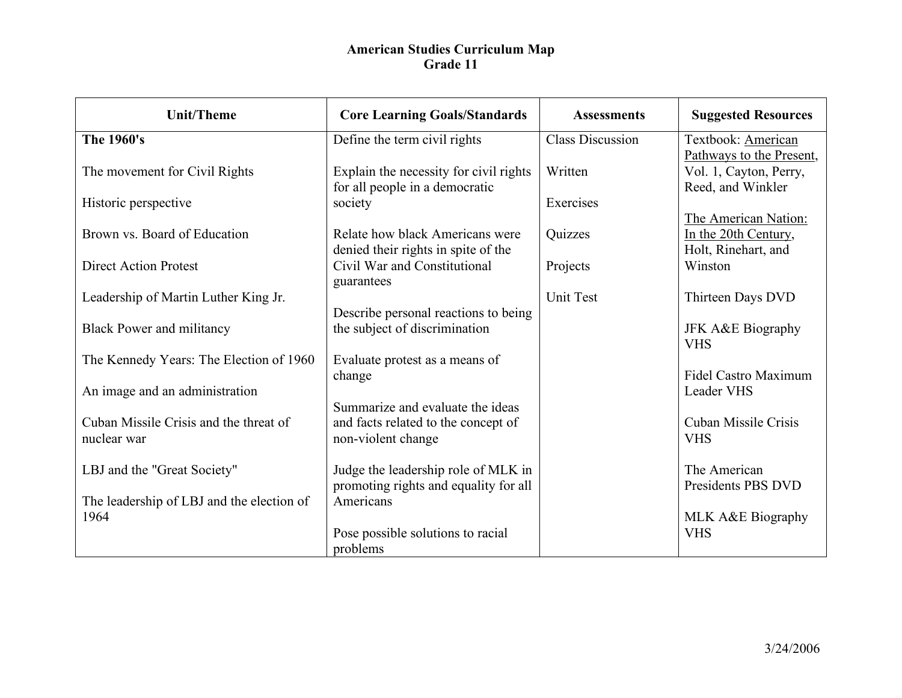| <b>Unit/Theme</b>                                 | <b>Core Learning Goals/Standards</b>                                    | <b>Assessments</b>      | <b>Suggested Resources</b>                  |
|---------------------------------------------------|-------------------------------------------------------------------------|-------------------------|---------------------------------------------|
| The 1960's                                        | Define the term civil rights                                            | <b>Class Discussion</b> | Textbook: American                          |
|                                                   |                                                                         |                         | Pathways to the Present,                    |
| The movement for Civil Rights                     | Explain the necessity for civil rights                                  | Written                 | Vol. 1, Cayton, Perry,<br>Reed, and Winkler |
| Historic perspective                              | for all people in a democratic<br>society                               | Exercises               |                                             |
|                                                   |                                                                         |                         | The American Nation:                        |
| Brown vs. Board of Education                      | Relate how black Americans were                                         | Quizzes                 | In the 20th Century,                        |
|                                                   | denied their rights in spite of the                                     |                         | Holt, Rinehart, and                         |
| <b>Direct Action Protest</b>                      | Civil War and Constitutional                                            | Projects                | Winston                                     |
| Leadership of Martin Luther King Jr.              | guarantees                                                              | <b>Unit Test</b>        | Thirteen Days DVD                           |
|                                                   | Describe personal reactions to being                                    |                         |                                             |
| <b>Black Power and militancy</b>                  | the subject of discrimination                                           |                         | <b>JFK A&amp;E Biography</b><br><b>VHS</b>  |
| The Kennedy Years: The Election of 1960           | Evaluate protest as a means of                                          |                         |                                             |
|                                                   | change                                                                  |                         | <b>Fidel Castro Maximum</b>                 |
| An image and an administration                    |                                                                         |                         | <b>Leader VHS</b>                           |
| Cuban Missile Crisis and the threat of            | Summarize and evaluate the ideas<br>and facts related to the concept of |                         | Cuban Missile Crisis                        |
| nuclear war                                       | non-violent change                                                      |                         | <b>VHS</b>                                  |
|                                                   |                                                                         |                         |                                             |
| LBJ and the "Great Society"                       | Judge the leadership role of MLK in                                     |                         | The American                                |
|                                                   | promoting rights and equality for all                                   |                         | Presidents PBS DVD                          |
| The leadership of LBJ and the election of<br>1964 | Americans                                                               |                         | MLK A&E Biography                           |
|                                                   | Pose possible solutions to racial                                       |                         | <b>VHS</b>                                  |
|                                                   | problems                                                                |                         |                                             |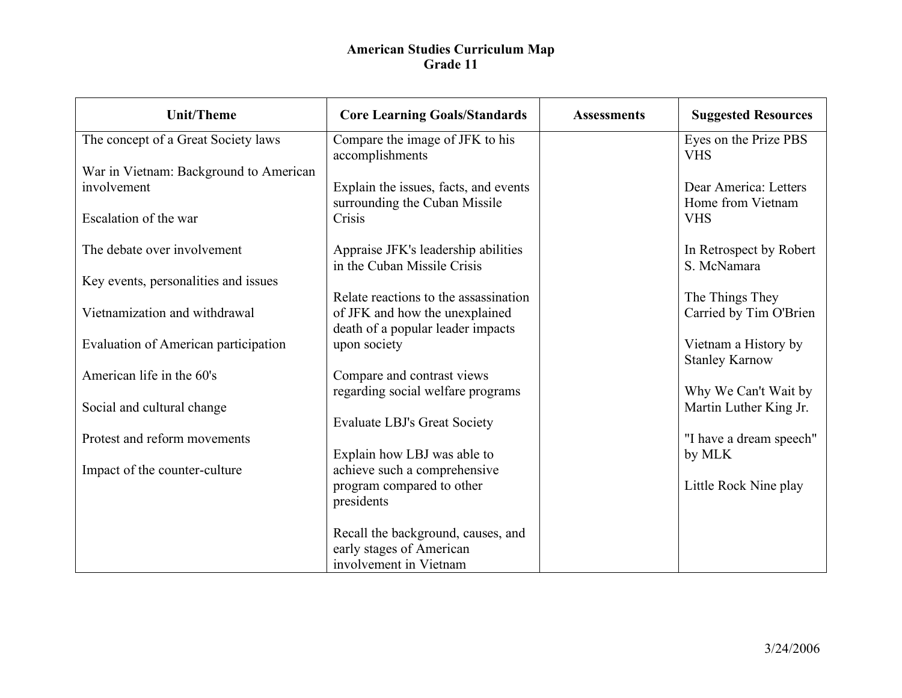| <b>Unit/Theme</b>                      | <b>Core Learning Goals/Standards</b>                                   | <b>Assessments</b> | <b>Suggested Resources</b>                     |
|----------------------------------------|------------------------------------------------------------------------|--------------------|------------------------------------------------|
| The concept of a Great Society laws    | Compare the image of JFK to his<br>accomplishments                     |                    | Eyes on the Prize PBS<br><b>VHS</b>            |
| War in Vietnam: Background to American |                                                                        |                    |                                                |
| involvement                            | Explain the issues, facts, and events<br>surrounding the Cuban Missile |                    | Dear America: Letters<br>Home from Vietnam     |
| Escalation of the war                  | Crisis                                                                 |                    | <b>VHS</b>                                     |
| The debate over involvement            | Appraise JFK's leadership abilities                                    |                    | In Retrospect by Robert                        |
| Key events, personalities and issues   | in the Cuban Missile Crisis                                            |                    | S. McNamara                                    |
|                                        | Relate reactions to the assassination                                  |                    | The Things They                                |
| Vietnamization and withdrawal          | of JFK and how the unexplained<br>death of a popular leader impacts    |                    | Carried by Tim O'Brien                         |
| Evaluation of American participation   | upon society                                                           |                    | Vietnam a History by<br><b>Stanley Karnow</b>  |
| American life in the 60's              | Compare and contrast views                                             |                    |                                                |
| Social and cultural change             | regarding social welfare programs                                      |                    | Why We Can't Wait by<br>Martin Luther King Jr. |
|                                        | <b>Evaluate LBJ's Great Society</b>                                    |                    |                                                |
| Protest and reform movements           | Explain how LBJ was able to                                            |                    | "I have a dream speech"<br>by MLK              |
| Impact of the counter-culture          | achieve such a comprehensive                                           |                    |                                                |
|                                        | program compared to other<br>presidents                                |                    | Little Rock Nine play                          |
|                                        |                                                                        |                    |                                                |
|                                        | Recall the background, causes, and                                     |                    |                                                |
|                                        | early stages of American<br>involvement in Vietnam                     |                    |                                                |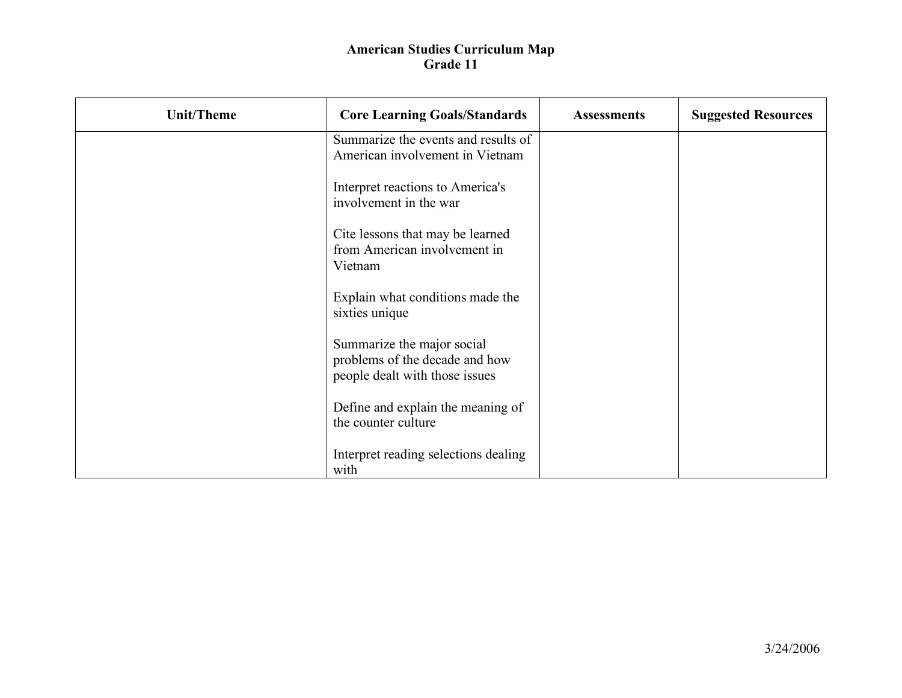| <b>Unit/Theme</b> | <b>Core Learning Goals/Standards</b>                                                           | <b>Assessments</b> | <b>Suggested Resources</b> |
|-------------------|------------------------------------------------------------------------------------------------|--------------------|----------------------------|
|                   | Summarize the events and results of<br>American involvement in Vietnam                         |                    |                            |
|                   | Interpret reactions to America's<br>involvement in the war                                     |                    |                            |
|                   | Cite lessons that may be learned<br>from American involvement in<br>Vietnam                    |                    |                            |
|                   | Explain what conditions made the<br>sixties unique                                             |                    |                            |
|                   | Summarize the major social<br>problems of the decade and how<br>people dealt with those issues |                    |                            |
|                   | Define and explain the meaning of<br>the counter culture                                       |                    |                            |
|                   | Interpret reading selections dealing<br>with                                                   |                    |                            |